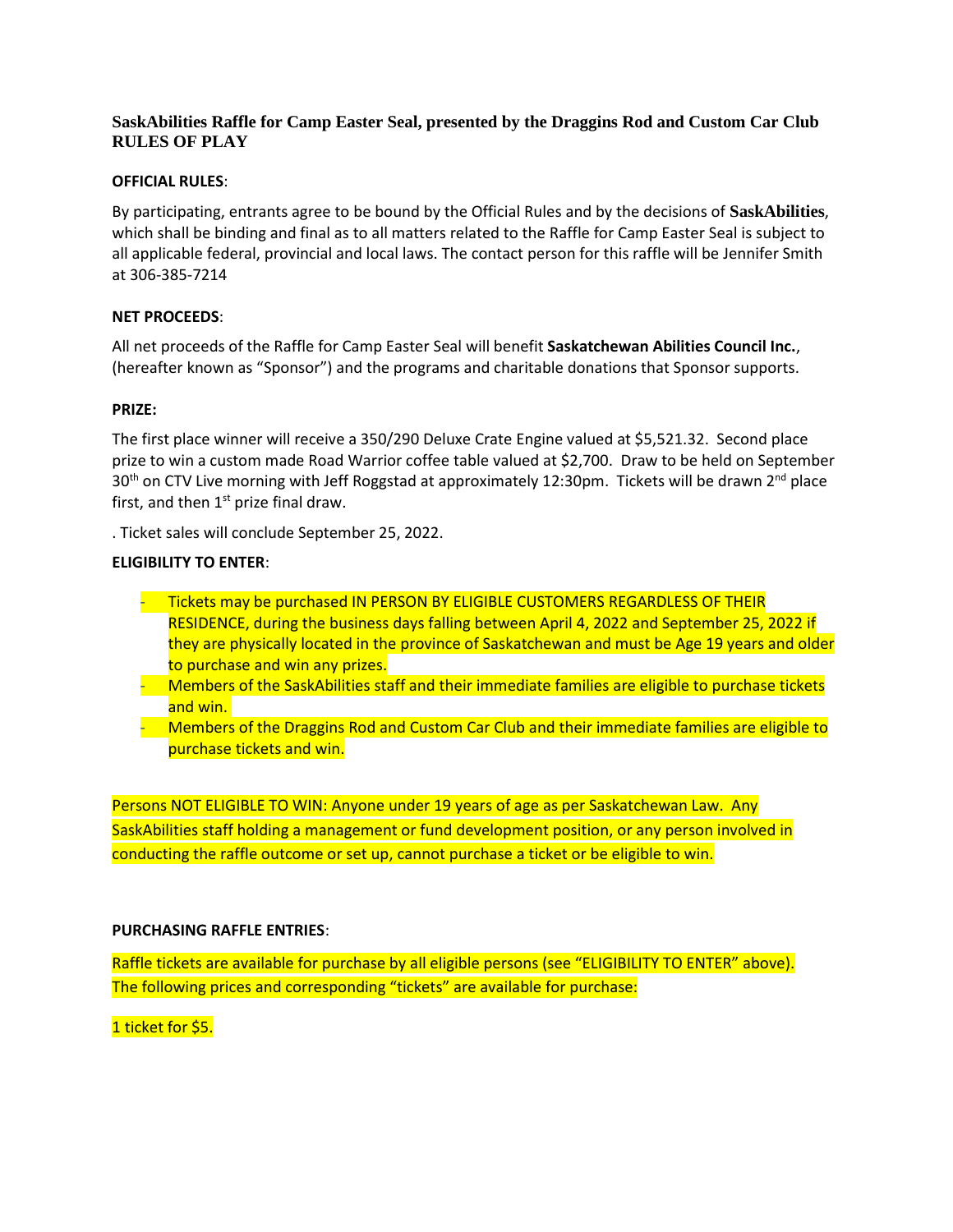# **SaskAbilities Raffle for Camp Easter Seal, presented by the Draggins Rod and Custom Car Club RULES OF PLAY**

## **OFFICIAL RULES**:

By participating, entrants agree to be bound by the Official Rules and by the decisions of **SaskAbilities**, which shall be binding and final as to all matters related to the Raffle for Camp Easter Seal is subject to all applicable federal, provincial and local laws. The contact person for this raffle will be Jennifer Smith at 306-385-7214

## **NET PROCEEDS**:

All net proceeds of the Raffle for Camp Easter Seal will benefit **Saskatchewan Abilities Council Inc.**, (hereafter known as "Sponsor") and the programs and charitable donations that Sponsor supports.

### **PRIZE:**

The first place winner will receive a 350/290 Deluxe Crate Engine valued at \$5,521.32. Second place prize to win a custom made Road Warrior coffee table valued at \$2,700. Draw to be held on September 30<sup>th</sup> on CTV Live morning with Jeff Roggstad at approximately 12:30pm. Tickets will be drawn 2<sup>nd</sup> place first, and then  $1<sup>st</sup>$  prize final draw.

. Ticket sales will conclude September 25, 2022.

### **ELIGIBILITY TO ENTER**:

- Tickets may be purchased IN PERSON BY ELIGIBLE CUSTOMERS REGARDLESS OF THEIR RESIDENCE, during the business days falling between April 4, 2022 and September 25, 2022 if they are physically located in the province of Saskatchewan and must be Age 19 years and older to purchase and win any prizes.
- Members of the SaskAbilities staff and their immediate families are eligible to purchase tickets and win.
- Members of the Draggins Rod and Custom Car Club and their immediate families are eligible to purchase tickets and win.

Persons NOT ELIGIBLE TO WIN: Anyone under 19 years of age as per Saskatchewan Law. Any SaskAbilities staff holding a management or fund development position, or any person involved in conducting the raffle outcome or set up, cannot purchase a ticket or be eligible to win.

#### **PURCHASING RAFFLE ENTRIES**:

Raffle tickets are available for purchase by all eligible persons (see "ELIGIBILITY TO ENTER" above). The following prices and corresponding "tickets" are available for purchase:

1 ticket for \$5.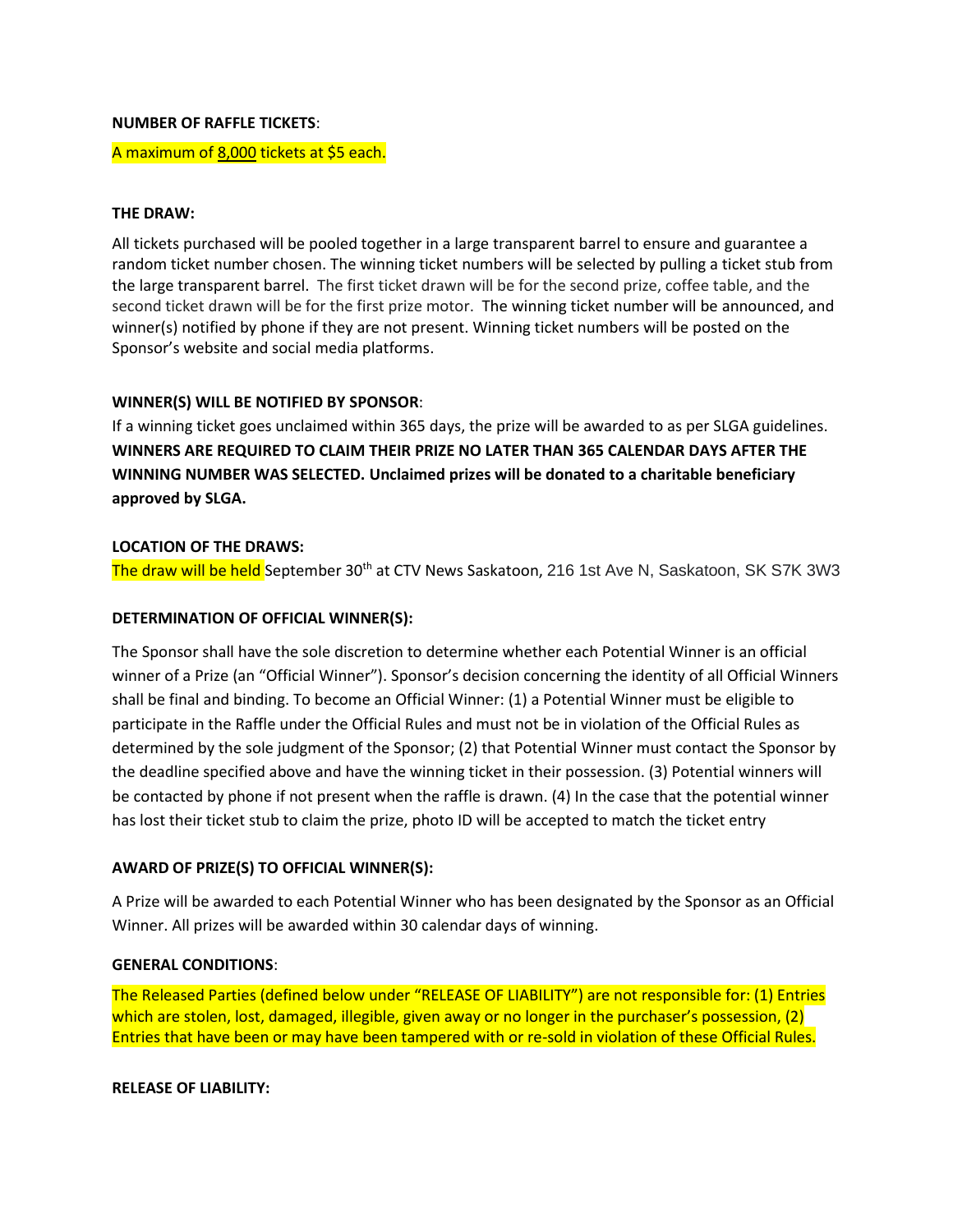#### **NUMBER OF RAFFLE TICKETS**:

#### A maximum of 8,000 tickets at \$5 each.

### **THE DRAW:**

All tickets purchased will be pooled together in a large transparent barrel to ensure and guarantee a random ticket number chosen. The winning ticket numbers will be selected by pulling a ticket stub from the large transparent barrel. The first ticket drawn will be for the second prize, coffee table, and the second ticket drawn will be for the first prize motor. The winning ticket number will be announced, and winner(s) notified by phone if they are not present. Winning ticket numbers will be posted on the Sponsor's website and social media platforms.

## **WINNER(S) WILL BE NOTIFIED BY SPONSOR**:

If a winning ticket goes unclaimed within 365 days, the prize will be awarded to as per SLGA guidelines. **WINNERS ARE REQUIRED TO CLAIM THEIR PRIZE NO LATER THAN 365 CALENDAR DAYS AFTER THE WINNING NUMBER WAS SELECTED. Unclaimed prizes will be donated to a charitable beneficiary approved by SLGA.**

### **LOCATION OF THE DRAWS:**

The draw will be held September 30<sup>th</sup> at CTV News Saskatoon, 216 1st Ave N, Saskatoon, SK S7K 3W3

## **DETERMINATION OF OFFICIAL WINNER(S):**

The Sponsor shall have the sole discretion to determine whether each Potential Winner is an official winner of a Prize (an "Official Winner"). Sponsor's decision concerning the identity of all Official Winners shall be final and binding. To become an Official Winner: (1) a Potential Winner must be eligible to participate in the Raffle under the Official Rules and must not be in violation of the Official Rules as determined by the sole judgment of the Sponsor; (2) that Potential Winner must contact the Sponsor by the deadline specified above and have the winning ticket in their possession. (3) Potential winners will be contacted by phone if not present when the raffle is drawn. (4) In the case that the potential winner has lost their ticket stub to claim the prize, photo ID will be accepted to match the ticket entry

## **AWARD OF PRIZE(S) TO OFFICIAL WINNER(S):**

A Prize will be awarded to each Potential Winner who has been designated by the Sponsor as an Official Winner. All prizes will be awarded within 30 calendar days of winning.

#### **GENERAL CONDITIONS**:

The Released Parties (defined below under "RELEASE OF LIABILITY") are not responsible for: (1) Entries which are stolen, lost, damaged, illegible, given away or no longer in the purchaser's possession, (2) Entries that have been or may have been tampered with or re-sold in violation of these Official Rules.

#### **RELEASE OF LIABILITY:**